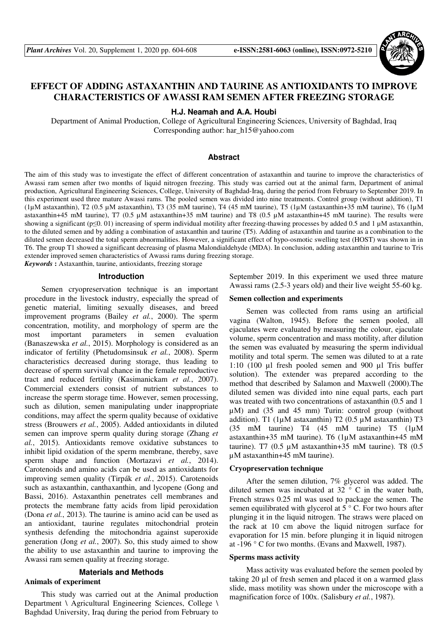

# **EFFECT OF ADDING ASTAXANTHIN AND TAURINE AS ANTIOXIDANTS TO IMPROVE CHARACTERISTICS OF AWASSI RAM SEMEN AFTER FREEZING STORAGE**

**H.J. Neamah and A.A. Houbi** 

Department of Animal Production, College of Agricultural Engineering Sciences, University of Baghdad, Iraq Corresponding author: har\_h15@yahoo.com

### **Abstract**

The aim of this study was to investigate the effect of different concentration of astaxanthin and taurine to improve the characteristics of Awassi ram semen after two months of liquid nitrogen freezing. This study was carried out at the animal farm, Department of animal production, Agricultural Engineering Sciences, College, University of Baghdad-Iraq, during the period from February to September 2019. In this experiment used three mature Awassi rams. The pooled semen was divided into nine treatments. Control group (without addition), T1 (1µМ astaxanthin), T2 (0.5 µМ astaxanthin), T3 (35 mM taurine), T4 (45 mM taurine), T5 (1µМ (astaxanthin+35 mM taurine), T6 (1µМ astaxanthin+45 mM taurine), T7 (0.5 µМ astaxanthin+35 mM taurine) and T8 (0.5 µМ astaxanthin+45 mM taurine). The results were showing a significant (p≤0. 01) increasing of sperm individual motility after freezing-thawing processes by added 0.5 and 1 µM astaxanthin, to the diluted semen and by adding a combination of astaxanthin and taurine (T5). Adding of astaxanthin and taurine as a combination to the diluted semen decreased the total sperm abnormalities. However, a significant effect of hypo-osmotic swelling test (HOST) was shown in in T6. The group T1 showed a significant decreasing of plasma Malondialdehyde (MDA). In conclusion, adding astaxanthin and taurine to Tris extender improved semen characteristics of Awassi rams during freezing storage.

*Keywords* **:** Astaxanthin, taurine, antioxidants, freezing storage

### **Introduction**

Semen cryopreservation technique is an important procedure in the livestock industry, especially the spread of genetic material, limiting sexually diseases, and breed improvement programs (Bailey *et al.*, 2000). The sperm concentration, motility, and morphology of sperm are the most important parameters in semen evaluation (Banaszewska *et al.*, 2015). Morphology is considered as an indicator of fertility (Phetudomsinsuk *et al.*, 2008). Sperm characteristics decreased during storage, thus leading to decrease of sperm survival chance in the female reproductive tract and reduced fertility (Kasimanickam *et al.*, 2007). Commercial extenders consist of nutrient substances to increase the sperm storage time. However, semen processing, such as dilution, semen manipulating under inappropriate conditions, may affect the sperm quality because of oxidative stress (Brouwers *et al.*, 2005). Added antioxidants in diluted semen can improve sperm quality during storage (Zhang *et al.*, 2015). Antioxidants remove oxidative substances to inhibit lipid oxidation of the sperm membrane, thereby, save sperm shape and function (Mortazavi *et al.*, 2014). Carotenoids and amino acids can be used as antioxidants for improving semen quality (Tirpák *et al.*, 2015). Carotenoids such as astaxanthin, canthaxanthin, and lycopene (Gong and Bassi, 2016). Astaxanthin penetrates cell membranes and protects the membrane fatty acids from lipid peroxidation (Dona *et al.*, 2013). The taurine is amino acid can be used as an antioxidant, taurine regulates mitochondrial protein synthesis defending the mitochondria against superoxide generation (Jong *et al.*, 2007). So, this study aimed to show the ability to use astaxanthin and taurine to improving the Awassi ram semen quality at freezing storage.

### **Materials and Methods**

### **Animals of experiment**

This study was carried out at the Animal production Department \ Agricultural Engineering Sciences, College \ Baghdad University, Iraq during the period from February to September 2019. In this experiment we used three mature Awassi rams (2.5-3 years old) and their live weight 55-60 kg.

### **Semen collection and experiments**

Semen was collected from rams using an artificial vagina (Walton, 1945). Before the semen pooled, all ejaculates were evaluated by measuring the colour, ejaculate volume, sperm concentration and mass motility, after dilution the semen was evaluated by measuring the sperm individual motility and total sperm. The semen was diluted to at a rate 1:10 (100 µl fresh pooled semen and 900 µl Tris buffer solution). The extender was prepared according to the method that described by Salamon and Maxwell (2000).The diluted semen was divided into nine equal parts, each part was treated with two concentrations of astaxanthin (0.5 and 1 µМ) and (35 and 45 mm) Turin: control group (without addition). T1 ( $1\mu$ M astaxanthin) T2 (0.5  $\mu$ M astaxanthin) T3 (35 mM taurine) T4 (45 mM taurine) T5 (1µМ astaxanthin+35 mM taurine). T6 (1µМ astaxanthin+45 mM taurine). T7  $(0.5 \mu M$  astaxanthin+35 mM taurine). T8  $(0.5 \mu M)$ µМ astaxanthin+45 mM taurine).

#### **Cryopreservation technique**

After the semen dilution, 7% glycerol was added. The diluted semen was incubated at 32 $\degree$  C in the water bath, French straws 0.25 ml was used to package the semen. The semen equilibrated with glycerol at  $5^{\circ}$  C. For two hours after plunging it in the liquid nitrogen. The straws were placed on the rack at 10 cm above the liquid nitrogen surface for evaporation for 15 min. before plunging it in liquid nitrogen at -196 ° C for two months. (Evans and Maxwell, 1987).

#### **Sperms mass activity**

Mass activity was evaluated before the semen pooled by taking 20 µl of fresh semen and placed it on a warmed glass slide, mass motility was shown under the microscope with a magnification force of 100x. (Salisbury *et al.*, 1987).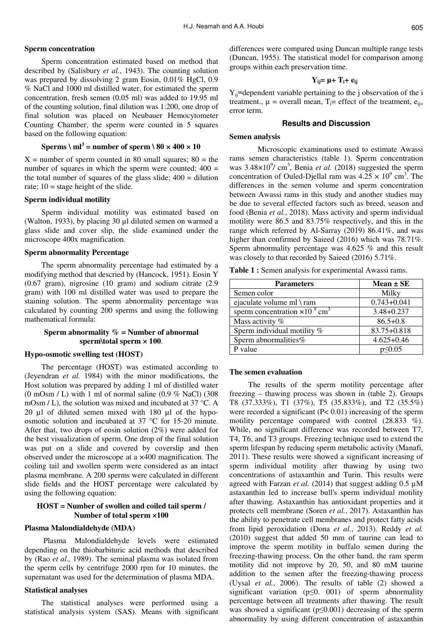### **Sperm concentration**

Sperm concentration estimated based on method that described by (Salisbury *et al.*, 1943). The counting solution was prepared by dissolving 2 gram Eosin, 0.01% HgCl, 0.9 % NaCl and 1000 ml distilled water, for estimated the sperm concentration, fresh semen (0.05 ml) was added to 19.95 ml of the counting solution, final dilution was 1:200, one drop of final solution was placed on Neubauer Hemocytometer Counting Chamber, the sperm were counted in 5 squares based on the following equation:

## **Sperms \**  $ml^3$  = **number** of **sperm**  $\setminus 80 \times 400 \times 10$

 $X =$  number of sperm counted in 80 small squares; 80 = the number of squares in which the sperm were counted;  $400 =$ the total number of squares of the glass slide;  $400 =$  dilution rate;  $10 =$  stage height of the slide.

#### **Sperm individual motility**

Sperm individual motility was estimated based on (Walton, 1933), by placing 30 µl diluted semen on warmed a glass slide and cover slip, the slide examined under the microscope 400x magnification.

#### **Sperm abnormality Percentage**

The sperm abnormality percentage had estimated by a modifying method that descried by (Hancock, 1951). Eosin Y (0.67 gram), nigrosine (10 gram) and sodium citrate (2.9 gram) with 100 ml distilled water was used to prepare the staining solution. The sperm abnormality percentage was calculated by counting 200 sperms and using the following mathematical formula:

### **Sperm abnormality % = Number of abnormal sperm\total sperm × 100**.

#### **Hypo-osmotic swelling test (HOST)**

The percentage (HOST) was estimated according to (Jeyendran *et al.* 1984) with the minor modifications, the Host solution was prepared by adding 1 ml of distilled water  $(0 \text{ mOsm } / L)$  with 1 ml of normal saline  $(0.9 \%$  NaCl)  $(308$ mOsm / L), the solution was mixed and incubated at 37 °C. A 20 µl of diluted semen mixed with 180 µl of the hypoosmotic solution and incubated at 37 °C for 15-20 minute. After that, two drops of eosin solution (2%) were added for the best visualization of sperm. One drop of the final solution was put on a slide and covered by coverslip and then observed under the microscope at a ×400 magnification. The coiling tail and swollen sperm were considered as an intact plasma membrane. A 200 sperms were calculated in different slide fields and the HOST percentage were calculated by using the following equation:

### **HOST = Number of swollen and coiled tail sperm / Number of total sperm ×100**

### **Plasma Malondialdehyde (MDA)**

Plasma Malondialdehyde levels were estimated depending on the thiobarbituric acid methods that described by (Rao *et al.,* 1989). The seminal plasma was isolated from the sperm cells by centrifuge 2000 rpm for 10 minutes, the supernatant was used for the determination of plasma MDA.

#### **Statistical analyses**

The statistical analyses were performed using a statistical analysis system (SAS). Means with significant differences were compared using Duncan multiple range tests (Duncan, 1955). The statistical model for comparison among groups within each preservation time.

### $Y_{ii} = \mu + T_i + e_{ii}$

 $Y_{ii}$ =dependent variable pertaining to the j observation of the i treatment.,  $\mu$  = overall mean,  $T_i$ = effect of the treatment,  $e_{ii}$ = error term.

#### **Results and Discussion**

### **Semen analysis**

Microscopic examinations used to estimate Awassi rams semen characteristics (table 1). Sperm concentration was 3.48×10<sup>9</sup>/ cm<sup>3</sup>, Benia et al. (2018) suggested the sperm concentration of Ouled-Djellal ram was  $4.25 \times 10^9$  cm<sup>3</sup>. The differences in the semen volume and sperm concentration between Awassi rams in this study and another studies may be due to several effected factors such as breed, season and food (Benia *et al.*, 2018). Mass activity and sperm individual motility were 86.5 and 83.75% respectively, and this in the range which referred by Al-Sarray (2019) 86.41%, and was higher than confirmed by Saieed (2016) which was 78.71%. Sperm abnormality percentage was 4.625 % and this result was closely to that recorded by Saieed (2016) 5.71%.

**Table 1 :** Semen analysis for experimental Awassi rams.

| <b>Parameters</b>                                    | $Mean \pm SE$   |
|------------------------------------------------------|-----------------|
| Semen color                                          | Milky           |
| ejaculate volume ml \ram                             | $0.743 + 0.041$ |
| sperm concentration $\times 10^{-9}$ cm <sup>3</sup> | $3.48 + 0.237$  |
| Mass activity %                                      | $86.5 + 0.8$    |
| Sperm individual motility %                          | 83.75+0.818     |
| Sperm abnormalities%                                 | $4.625 + 0.46$  |
| P value                                              | $p \le 0.05$    |

#### **The semen evaluation**

The results of the sperm motility percentage after freezing – thawing process was shown in (table 2). Groups T8 (37.333%), T1 (37%), T5 (35.833%), and T2 (35.5%) were recorded a significant (P< 0.01) increasing of the sperm motility percentage compared with control (28.833 %). While, no significant difference was recorded between T7, T4, T6, and T3 groups. Freezing technique used to extend the sperm lifespan by reducing sperm metabolic activity (Manafi, 2011). These results were showed a significant increasing of sperm individual motility after thawing by using two concentrations of astaxanthin and Turin. This results were agreed with Farzan *et al.* (2014) that suggest adding 0.5 µМ astaxanthin led to increase bull's sperm individual motility after thawing. Astaxanthin has antioxidant properties and it protects cell membrane (Soren *et al.*, 2017). Astaxanthin has the ability to penetrate cell membranes and protect fatty acids from lipid peroxidation (Dona *et al.*, 2013). Reddy *et al.*  (2010) suggest that added 50 mm of taurine can lead to improve the sperm motility in buffalo semen during the freezing-thawing process. On the other hand, the ram sperm motility did not improve by 20, 50, and 80 mM taurine addition to the semen after the freezing-thawing process (Uysal *et al.*, 2006). The results of table (2) showed a significant variation (p≤0. 001) of sperm abnormality percentage between all treatments after thawing. The result was showed a significant ( $p \le 0.001$ ) decreasing of the sperm abnormality by using different concentration of astaxanthin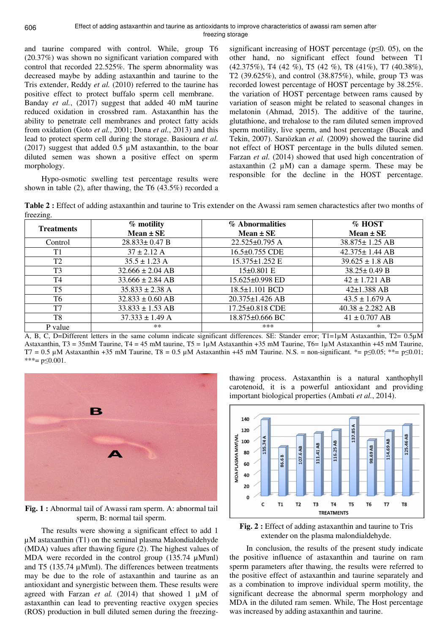and taurine compared with control. While, group T6 (20.37%) was shown no significant variation compared with control that recorded 22.525%. The sperm abnormality was decreased maybe by adding astaxanthin and taurine to the Tris extender, Reddy *et al.* (2010) referred to the taurine has positive effect to protect buffalo sperm cell membrane. Banday *et al.*, (2017) suggest that added 40 mM taurine reduced oxidation in crossbred ram. Astaxanthin has the ability to penetrate cell membranes and protect fatty acids from oxidation (Goto *et al.*, 2001; Dona *et al.*, 2013) and this lead to protect sperm cell during the storage. Basioura *et al.*  (2017) suggest that added 0.5 µМ astaxanthin, to the boar diluted semen was shown a positive effect on sperm morphology.

Hypo-osmotic swelling test percentage results were shown in table (2), after thawing, the T6 (43.5%) recorded a

significant increasing of HOST percentage ( $p \le 0$ , 05), on the other hand, no significant effect found between T1 (42.375%), T4 (42 %), T5 (42 %), T8 (41%), T7 (40.38%), T2 (39.625%), and control (38.875%), while, group T3 was recorded lowest percentage of HOST percentage by 38.25%. the variation of HOST percentage between rams caused by variation of season might be related to seasonal changes in melatonin (Ahmad, 2015). The additive of the taurine, glutathione, and trehalose to the ram diluted semen improved sperm motility, live sperm, and host percentage (Bucak and Tekin, 2007). Sarıözkan *et al.* (2009) showed the taurine did not effect of HOST percentage in the bulls diluted semen. Farzan et al. (2014) showed that used high concentration of astaxanthin (2 µМ) can a damage sperm. These may be responsible for the decline in the HOST percentage.

**Table 2 :** Effect of adding astaxanthin and taurine to Tris extender on the Awassi ram semen charactestics after two months of freezing

| $\cdots$          |                      |                       |                      |
|-------------------|----------------------|-----------------------|----------------------|
| <b>Treatments</b> | % motility           | % Abnormalities       | % HOST               |
|                   | $Mean \pm SE$        | $Mean \pm SE$         | $Mean \pm SE$        |
| Control           | $28.833 \pm 0.47$ B  | 22.525±0.795 A        | $38.875 \pm 1.25$ AB |
| T <sub>1</sub>    | $37 \pm 2.12$ A      | 16.5±0.755 CDE        | $42.375 \pm 1.44$ AB |
| T2                | $35.5 \pm 1.23$ A    | 15.375±1.252 E        | $39.625 \pm 1.8$ AB  |
| T <sub>3</sub>    | $32.666 \pm 2.04$ AB | 15±0.801 E            | $38.25 \pm 0.49$ B   |
| T4                | $33.666 \pm 2.84$ AB | 15.625±0.998 ED       | $42 \pm 1.721$ AB    |
| T <sub>5</sub>    | $35.833 \pm 2.38$ A  | $18.5 \pm 1.101$ BCD  | $42 \pm 1.388$ AB    |
| T6                | $32.833 \pm 0.60$ AB | $20.375 \pm 1.426$ AB | $43.5 \pm 1.679$ A   |
| T <sub>7</sub>    | $33.833 \pm 1.53$ AB | 17.25±0.818 CDE       | $40.38 \pm 2.282$ AB |
| T8                | $37.333 \pm 1.49$ A  | 18.875±0.666 BC       | $41 \pm 0.707$ AB    |
| P value           | **                   | $***$                 | ∗                    |

A, B, C, D=Different letters in the same column indicate significant differences. SE: Stander error; T1=1µM Astaxanthin, T2= 0.5µM Astaxanthin, T3 = 35mM Taurine, T4 = 45 mM taurine, T5 =  $1 \mu M$  Astaxanthin +35 mM Taurine, T6 =  $1 \mu M$  Astaxanthin +45 mM Taurine, T7 = 0.5 µM Astaxanthin +35 mM Taurine, T8 = 0.5 µM Astaxanthin +45 mM Taurine. N.S. = non-significant. \*= p≤0.05; \*\*= p≤0.01; \*\*\*=  $p \le 0.001$ .



**Fig. 1 :** Abnormal tail of Awassi ram sperm. A: abnormal tail sperm, B: normal tail sperm.

The results were showing a significant effect to add 1 µM astaxanthin (T1) on the seminal plasma Malondialdehyde (MDA) values after thawing figure (2). The highest values of MDA were recorded in the control group (135.74 µM\ml) and T5 (135.74 µМ\ml). The differences between treatments may be due to the role of astaxanthin and taurine as an antioxidant and synergistic between them. These results were agreed with Farzan *et al.* (2014) that showed 1 µМ of astaxanthin can lead to preventing reactive oxygen species (ROS) production in bull diluted semen during the freezingthawing process. Astaxanthin is a natural xanthophyll carotenoid, it is a powerful antioxidant and providing important biological properties (Ambati *et al.*, 2014).



**Fig. 2 :** Effect of adding astaxanthin and taurine to Tris extender on the plasma malondialdehyde.

In conclusion, the results of the present study indicate the positive influence of astaxanthin and taurine on ram sperm parameters after thawing, the results were referred to the positive effect of astaxanthin and taurine separately and as a combination to improve individual sperm motility, the significant decrease the abnormal sperm morphology and MDA in the diluted ram semen. While, The Host percentage was increased by adding astaxanthin and taurine.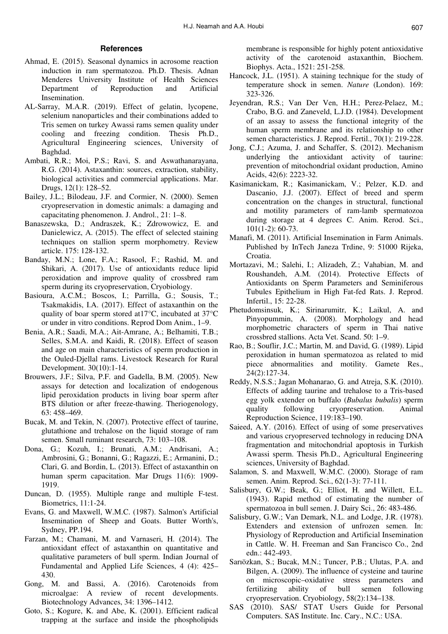### **References**

- Ahmad, E. (2015). Seasonal dynamics in acrosome reaction induction in ram spermatozoa. Ph.D. Thesis. Adnan Menderes University Institute of Health Sciences Department of Reproduction and Artificial Insemination.
- AL-Sarray, M.A.R. (2019). Effect of gelatin, lycopene, selenium nanoparticles and their combinations added to Tris semen on turkey Awassi rams semen quality under cooling and freezing condition. Thesis Ph.D., Agricultural Engineering sciences, University of Baghdad.
- Ambati, R.R.; Moi, P.S.; Ravi, S. and Aswathanarayana, R.G. (2014). Astaxanthin: sources, extraction, stability, biological activities and commercial applications. Mar. Drugs, 12(1): 128–52.
- Bailey, J.L.; Bilodeau, J.F. and Cormier, N. (2000). Semen cryopreservation in domestic animals: a damaging and capacitating phenomenon. J. Androl., 21: 1–8.
- Banaszewska, D.; Andraszek, K.; Zdrowowicz, E. and Danielewicz, A. (2015). The effect of selected staining techniques on stallion sperm morphometry. Review article. 175: 128-132.
- Banday, M.N.; Lone, F.A.; Rasool, F.; Rashid, M. and Shikari, A. (2017). Use of antioxidants reduce lipid peroxidation and improve quality of crossbred ram sperm during its cryopreservation, Cryobiology.
- Basioura, A.C.M.; Boscos, I.; Parrilla, G.; Sousis, T.; Tsakmakidis, I.A. (2017). Effect of astaxanthin on the quality of boar sperm stored at17°C, incubated at 37°C or under in vitro conditions. Reprod Dom Anim., 1–9.
- Benia, A.R.; Saadi, M.A.; Ait-Amrane, A.; Belhamiti, T.B.; Selles, S.M.A. and Kaidi, R. (2018). Effect of season and age on main characteristics of sperm production in the Ouled-Djellal rams. Livestock Research for Rural Development. 30(10):1-14.
- Brouwers, J.F.; Silva, P.F. and Gadella, B.M. (2005). New assays for detection and localization of endogenous lipid peroxidation products in living boar sperm after BTS dilution or after freeze-thawing. Theriogenology, 63: 458–469.
- Bucak, M. and Tekin, N. (2007). Protective effect of taurine, glutathione and trehalose on the liquid storage of ram semen. Small ruminant research, 73: 103–108.
- Dona, G.; Kozuh, I.; Brunati, A.M.; Andrisani, A.; Ambrosini, G.; Bonanni, G.; Ragazzi, E.; Armanini, D.; Clari, G. and Bordin, L. (2013). Effect of astaxanthin on human sperm capacitation. Mar Drugs 11(6): 1909- 1919.
- Duncan, D. (1955). Multiple range and multiple F-test. Biometrics, 11:1-24.
- Evans, G. and Maxwell, W.M.C. (1987). Salmon's Artificial Insemination of Sheep and Goats. Butter Worth's, Sydney, PP.194.
- Farzan, M.; Chamani, M. and Varnaseri, H. (2014). The antioxidant effect of astaxanthin on quantitative and qualitative parameters of bull sperm. Indian Journal of Fundamental and Applied Life Sciences, 4 (4): 425– 430.
- Gong, M. and Bassi, A. (2016). Carotenoids from microalgae: A review of recent developments. Biotechnology Advances, 34: 1396–1412.
- Goto, S.; Kogure, K. and Abe, K. (2001). Efficient radical trapping at the surface and inside the phospholipids

membrane is responsible for highly potent antioxidative activity of the carotenoid astaxanthin, Biochem. Biophys. Acta., 1521: 251-258.

- Hancock, J.L. (1951). A staining technique for the study of temperature shock in semen. *Nature* (London). 169: 323-326.
- Jeyendran, R.S.; Van Der Ven, H.H.; Perez-Pelaez, M.; Crabo, B.G. and Zaneveld, L.J.D. (1984). Development of an assay to assess the functional integrity of the human sperm membrane and its relationship to other semen characteristics. J. Reprod. Fertil., 70(1): 219-228.
- Jong, C.J.; Azuma, J. and Schaffer, S. (2012). Mechanism underlying the antioxidant activity of taurine: prevention of mitochondrial oxidant production, Amino Acids, 42(6): 2223-32.
- Kasimanickam, R.; Kasimanickam, V.; Pelzer, K.D. and Dascanio, J.J. (2007). Effect of breed and sperm concentration on the changes in structural, functional and motility parameters of ram-lamb spermatozoa during storage at 4 degrees C. Anim. Rerod. Sci., 101(1-2): 60-73.
- Manafi, M. (2011). Artificial Insemination in Farm Animals. Published by InTech Janeza Trdine, 9: 51000 Rijeka, Croatia.
- Mortazavi, M.; Salehi, I.; Alizadeh, Z.; Vahabian, M. and Roushandeh, A.M. (2014). Protective Effects of Antioxidants on Sperm Parameters and Seminiferous Tubules Epithelium in High Fat-fed Rats. J. Reprod. Infertil., 15: 22-28.
- Phetudomsinsuk, K.; Sirinarumitr, K.; Laikul, A. and Pinyopummin, A. (2008). Morphology and head morphometric characters of sperm in Thai native crossbred stallions. Acta Vet. Scand. 50: 1–9.
- Rao, B.; Souflir, J.C.; Martin, M. and David, G. (1989). Lipid peroxidation in human spermatozoa as related to mid piece abnormalities and motility. Gamete Res., 24(2):127-34.
- Reddy, N.S.S.; Jagan Mohanarao, G. and Atreja, S.K. (2010). Effects of adding taurine and trehalose to a Tris-based egg yolk extender on buffalo (*Bubalus bubalis*) sperm quality following cryopreservation. Animal Reproduction Science, 119:183–190.
- Saieed, A.Y. (2016). Effect of using of some preservatives and various cryopreserved technology in reducing DNA fragmentation and mitochondrial apoptosis in Turkish Awassi sperm. Thesis Ph.D., Agricultural Engineering sciences, University of Baghdad.
- Salamon, S. and Maxwell, W.M.C. (2000). Storage of ram semen. Anim. Reprod. Sci., 62(1-3): 77-111.
- Salisbury, G.W.; Beak, G.; Elliot, H. and Willett, E.L. (1943). Rapid method of estimating the number of spermatozoa in bull semen. J. Dairy Sci., 26: 483-486.
- Salisbury, G.W.; Van Demark, N.L. and Lodge, J.R. (1978). Extenders and extension of unfrozen semen. In: Physiology of Reproduction and Artificial Insemination in Cattle. W. H. Freeman and San Francisco Co., 2nd edn.: 442-493.
- Sarıözkan, S.; Bucak, M.N.; Tuncer, P.B.; Ulutas, P.A. and Bilgen, A. (2009). The influence of cysteine and taurine on microscopic–oxidative stress parameters and fertilizing ability of bull semen following cryopreservation. Cryobiology, 58(2):134–138.
- SAS (2010). SAS/ STAT Users Guide for Personal Computers. SAS Institute. Inc. Cary., N.C.: USA.